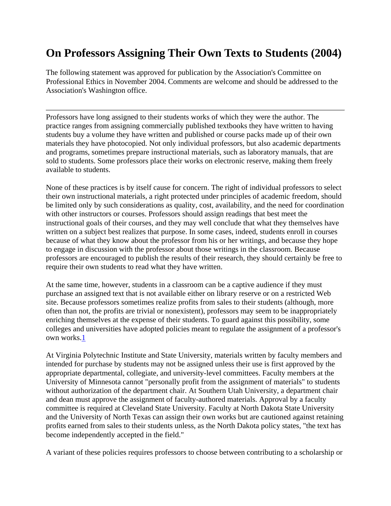## **On Professors Assigning Their Own Texts to Students (2004)**

The following statement was approved for publication by the Association's Committee on Professional Ethics in November 2004. Comments are welcome and should be addressed to the Association's Washington office.

Professors have long assigned to their students works of which they were the author. The practice ranges from assigning commercially published textbooks they have written to having students buy a volume they have written and published or course packs made up of their own materials they have photocopied. Not only individual professors, but also academic departments and programs, sometimes prepare instructional materials, such as laboratory manuals, that are sold to students. Some professors place their works on electronic reserve, making them freely available to students.

None of these practices is by itself cause for concern. The right of individual professors to select their own instructional materials, a right protected under principles of academic freedom, should be limited only by such considerations as quality, cost, availability, and the need for coordination with other instructors or courses. Professors should assign readings that best meet the instructional goals of their courses, and they may well conclude that what they themselves have written on a subject best realizes that purpose. In some cases, indeed, students enroll in courses because of what they know about the professor from his or her writings, and because they hope to engage in discussion with the professor about those writings in the classroom. Because professors are encouraged to publish the results of their research, they should certainly be free to require their own students to read what they have written.

At the same time, however, students in a classroom can be a captive audience if they must purchase an assigned text that is not available either on library reserve or on a restricted Web site. Because professors sometimes realize profits from sales to their students (although, more often than not, the profits are trivial or nonexistent), professors may seem to be inappropriately enriching themselves at the expense of their students. To guard against this possibility, some colleges and universities have adopted policies meant to regulate the assignment of a professor's own works.1

At Virginia Polytechnic Institute and State University, materials written by faculty members and intended for purchase by students may not be assigned unless their use is first approved by the appropriate departmental, collegiate, and university-level committees. Faculty members at the University of Minnesota cannot "personally profit from the assignment of materials" to students without authorization of the department chair. At Southern Utah University, a department chair and dean must approve the assignment of faculty-authored materials. Approval by a faculty committee is required at Cleveland State University. Faculty at North Dakota State University and the University of North Texas can assign their own works but are cautioned against retaining profits earned from sales to their students unless, as the North Dakota policy states, "the text has become independently accepted in the field."

A variant of these policies requires professors to choose between contributing to a scholarship or